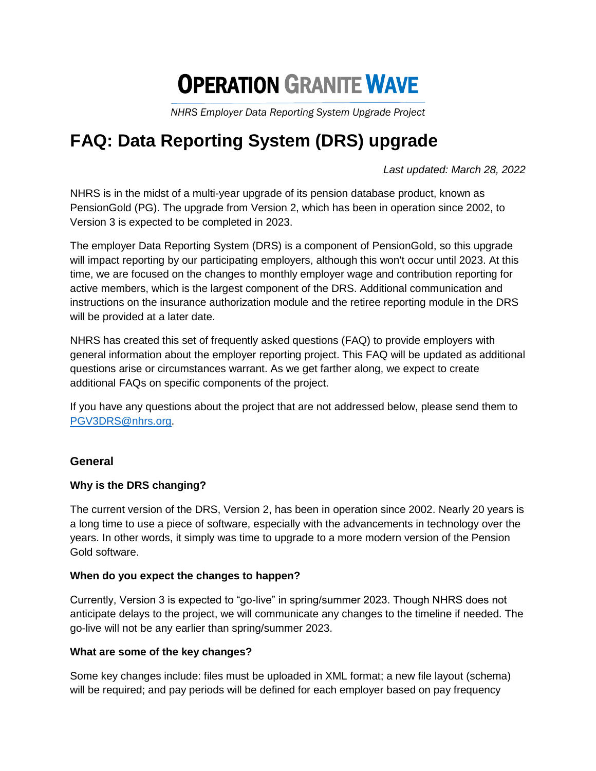# **OPERATION GRANITE WAVE**

*NHRS Employer Data Reporting System Upgrade Project*

# **FAQ: Data Reporting System (DRS) upgrade**

*Last updated: March 28, 2022*

NHRS is in the midst of a multi-year upgrade of its pension database product, known as PensionGold (PG). The upgrade from Version 2, which has been in operation since 2002, to Version 3 is expected to be completed in 2023.

The employer Data Reporting System (DRS) is a component of PensionGold, so this upgrade will impact reporting by our participating employers, although this won't occur until 2023. At this time, we are focused on the changes to monthly employer wage and contribution reporting for active members, which is the largest component of the DRS. Additional communication and instructions on the insurance authorization module and the retiree reporting module in the DRS will be provided at a later date.

NHRS has created this set of frequently asked questions (FAQ) to provide employers with general information about the employer reporting project. This FAQ will be updated as additional questions arise or circumstances warrant. As we get farther along, we expect to create additional FAQs on specific components of the project.

If you have any questions about the project that are not addressed below, please send them to [PGV3DRS@nhrs.org.](mailto:PGV3DRS@nhrs.org)

# **General**

# **Why is the DRS changing?**

The current version of the DRS, Version 2, has been in operation since 2002. Nearly 20 years is a long time to use a piece of software, especially with the advancements in technology over the years. In other words, it simply was time to upgrade to a more modern version of the Pension Gold software.

#### **When do you expect the changes to happen?**

Currently, Version 3 is expected to "go-live" in spring/summer 2023. Though NHRS does not anticipate delays to the project, we will communicate any changes to the timeline if needed. The go-live will not be any earlier than spring/summer 2023.

#### **What are some of the key changes?**

Some key changes include: files must be uploaded in XML format; a new file layout (schema) will be required; and pay periods will be defined for each employer based on pay frequency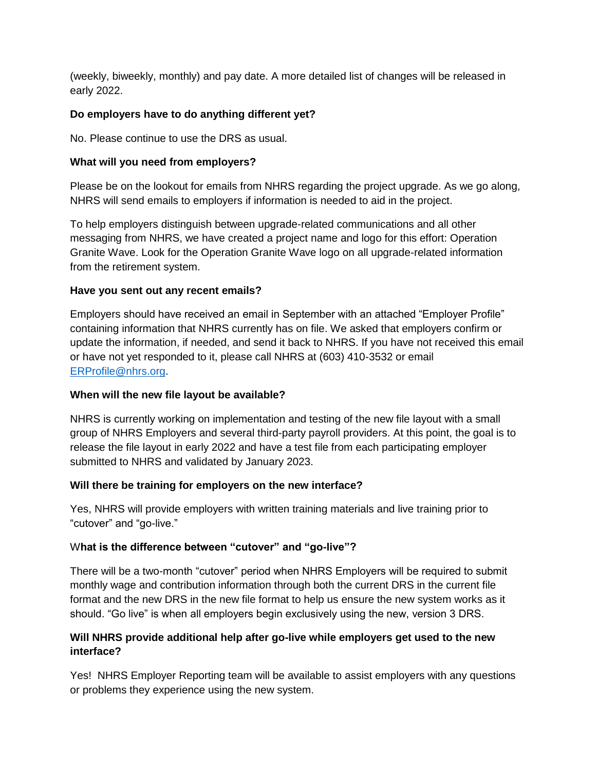(weekly, biweekly, monthly) and pay date. A more detailed list of changes will be released in early 2022.

# **Do employers have to do anything different yet?**

No. Please continue to use the DRS as usual.

#### **What will you need from employers?**

Please be on the lookout for emails from NHRS regarding the project upgrade. As we go along, NHRS will send emails to employers if information is needed to aid in the project.

To help employers distinguish between upgrade-related communications and all other messaging from NHRS, we have created a project name and logo for this effort: Operation Granite Wave. Look for the Operation Granite Wave logo on all upgrade-related information from the retirement system.

#### **Have you sent out any recent emails?**

Employers should have received an email in September with an attached "Employer Profile" containing information that NHRS currently has on file. We asked that employers confirm or update the information, if needed, and send it back to NHRS. If you have not received this email or have not yet responded to it, please call NHRS at (603) 410-3532 or email [ERProfile@nhrs.org.](mailto:ERProfile@nhrs.org)

#### **When will the new file layout be available?**

NHRS is currently working on implementation and testing of the new file layout with a small group of NHRS Employers and several third-party payroll providers. At this point, the goal is to release the file layout in early 2022 and have a test file from each participating employer submitted to NHRS and validated by January 2023.

#### **Will there be training for employers on the new interface?**

Yes, NHRS will provide employers with written training materials and live training prior to "cutover" and "go-live."

# W**hat is the difference between "cutover" and "go-live"?**

There will be a two-month "cutover" period when NHRS Employers will be required to submit monthly wage and contribution information through both the current DRS in the current file format and the new DRS in the new file format to help us ensure the new system works as it should. "Go live" is when all employers begin exclusively using the new, version 3 DRS.

# **Will NHRS provide additional help after go-live while employers get used to the new interface?**

Yes! NHRS Employer Reporting team will be available to assist employers with any questions or problems they experience using the new system.